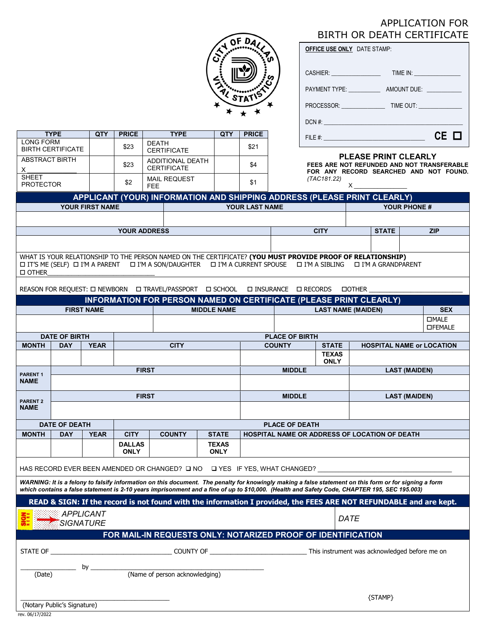# APPLICATION FOR BIRTH OR DEATH CERTIFICATE

|   | Ŋ۴<br>$D_{\mathcal{A}}$ |  |
|---|-------------------------|--|
|   |                         |  |
| a | 2.<br>ГΑ                |  |
|   |                         |  |

**TYPE QTY PRICE TYPE QTY PRICE**

CERTIFICATE | \$21

LONG FORM

BIRTH CERTIFICATE | \$23

| <b>OFFICE USE ONLY DATE STAMP:</b> |                              |  |  |  |  |  |  |  |
|------------------------------------|------------------------------|--|--|--|--|--|--|--|
| CASHIER: _______________           | TIME IN: ___________________ |  |  |  |  |  |  |  |
| PAYMENT TYPE: University PAYMENT   | AMOUNT DUE:                  |  |  |  |  |  |  |  |
| PROCESSOR: TIME OUT:               |                              |  |  |  |  |  |  |  |
|                                    |                              |  |  |  |  |  |  |  |
|                                    | CE O                         |  |  |  |  |  |  |  |

#### **PLEASE PRINT CLEARLY**

| <b>ABSTRACT BIRTH</b>                                                                                                                                                                                                                                                                                  |                      |                   | \$23                         | <b>ADDITIONAL DEATH</b>                                                   |                             | \$4                            | <b>PLEASE PRINT CLEARLY</b><br>FEES ARE NOT REFUNDED AND NOT TRANSFERABLE |                                                  |                                                                    |                                                                                                                    |  |
|--------------------------------------------------------------------------------------------------------------------------------------------------------------------------------------------------------------------------------------------------------------------------------------------------------|----------------------|-------------------|------------------------------|---------------------------------------------------------------------------|-----------------------------|--------------------------------|---------------------------------------------------------------------------|--------------------------------------------------|--------------------------------------------------------------------|--------------------------------------------------------------------------------------------------------------------|--|
| х<br><b>SHEET</b>                                                                                                                                                                                                                                                                                      |                      |                   |                              | <b>CERTIFICATE</b><br><b>MAIL REQUEST</b>                                 |                             |                                | FOR ANY RECORD SEARCHED AND NOT FOUND.<br>(TAC181.22)                     |                                                  |                                                                    |                                                                                                                    |  |
| <b>PROTECTOR</b>                                                                                                                                                                                                                                                                                       |                      |                   | \$2                          | <b>FEE</b>                                                                |                             | \$1                            |                                                                           |                                                  | $X_{-}$                                                            |                                                                                                                    |  |
| APPLICANT (YOUR) INFORMATION AND SHIPPING ADDRESS (PLEASE PRINT CLEARLY)                                                                                                                                                                                                                               |                      |                   |                              |                                                                           |                             |                                |                                                                           |                                                  |                                                                    |                                                                                                                    |  |
| YOUR FIRST NAME<br>YOUR LAST NAME                                                                                                                                                                                                                                                                      |                      |                   |                              |                                                                           |                             |                                |                                                                           | <b>YOUR PHONE #</b>                              |                                                                    |                                                                                                                    |  |
|                                                                                                                                                                                                                                                                                                        |                      |                   |                              |                                                                           |                             |                                |                                                                           |                                                  |                                                                    |                                                                                                                    |  |
|                                                                                                                                                                                                                                                                                                        |                      |                   |                              | <b>YOUR ADDRESS</b>                                                       |                             |                                |                                                                           | <b>CITY</b>                                      | <b>STATE</b>                                                       | <b>ZIP</b>                                                                                                         |  |
|                                                                                                                                                                                                                                                                                                        |                      |                   |                              |                                                                           |                             |                                |                                                                           |                                                  |                                                                    |                                                                                                                    |  |
| WHAT IS YOUR RELATIONSHIP TO THE PERSON NAMED ON THE CERTIFICATE? (YOU MUST PROVIDE PROOF OF RELATIONSHIP)<br>IT'S ME (SELF) I I'M A PARENT I I'M A SON/DAUGHTER I I'M A CURRENT SPOUSE I I'M A SIBLING<br>□ I'M A GRANDPARENT<br>□ OTHER                                                              |                      |                   |                              |                                                                           |                             |                                |                                                                           |                                                  |                                                                    |                                                                                                                    |  |
| REASON FOR REQUEST: [ NEWBORN   [ TRAVEL/PASSPORT   [ SCHOOL   [ INSURANCE   $\Box$ RECORDS<br><b>DOTHER</b>                                                                                                                                                                                           |                      |                   |                              |                                                                           |                             |                                |                                                                           |                                                  |                                                                    |                                                                                                                    |  |
|                                                                                                                                                                                                                                                                                                        |                      |                   |                              |                                                                           |                             |                                |                                                                           |                                                  | INFORMATION FOR PERSON NAMED ON CERTIFICATE (PLEASE PRINT CLEARLY) |                                                                                                                    |  |
|                                                                                                                                                                                                                                                                                                        |                      | <b>FIRST NAME</b> |                              |                                                                           | <b>MIDDLE NAME</b>          |                                |                                                                           |                                                  | <b>LAST NAME (MAIDEN)</b>                                          | <b>SEX</b>                                                                                                         |  |
|                                                                                                                                                                                                                                                                                                        |                      |                   |                              |                                                                           |                             | <b>DMALE</b><br><b>OFEMALE</b> |                                                                           |                                                  |                                                                    |                                                                                                                    |  |
|                                                                                                                                                                                                                                                                                                        | <b>DATE OF BIRTH</b> |                   |                              |                                                                           |                             |                                | <b>PLACE OF BIRTH</b>                                                     |                                                  |                                                                    |                                                                                                                    |  |
| <b>MONTH</b>                                                                                                                                                                                                                                                                                           | <b>DAY</b>           | <b>YEAR</b>       |                              | <b>CITY</b>                                                               |                             |                                | <b>COUNTY</b>                                                             | <b>STATE</b><br><b>HOSPITAL NAME or LOCATION</b> |                                                                    |                                                                                                                    |  |
|                                                                                                                                                                                                                                                                                                        |                      |                   |                              |                                                                           |                             |                                |                                                                           | <b>TEXAS</b><br><b>ONLY</b>                      |                                                                    |                                                                                                                    |  |
| <b>PARENT1</b>                                                                                                                                                                                                                                                                                         |                      |                   |                              | <b>FIRST</b>                                                              |                             |                                | <b>MIDDLE</b><br><b>LAST (MAIDEN)</b>                                     |                                                  |                                                                    |                                                                                                                    |  |
| <b>NAME</b>                                                                                                                                                                                                                                                                                            |                      |                   |                              |                                                                           |                             |                                |                                                                           |                                                  |                                                                    |                                                                                                                    |  |
|                                                                                                                                                                                                                                                                                                        |                      |                   |                              | <b>FIRST</b>                                                              |                             | <b>MIDDLE</b>                  |                                                                           |                                                  | <b>LAST (MAIDEN)</b>                                               |                                                                                                                    |  |
| <b>PARENT 2</b><br><b>NAME</b>                                                                                                                                                                                                                                                                         |                      |                   |                              |                                                                           |                             |                                |                                                                           |                                                  |                                                                    |                                                                                                                    |  |
|                                                                                                                                                                                                                                                                                                        | <b>DATE OF DEATH</b> |                   |                              |                                                                           |                             |                                | <b>PLACE OF DEATH</b>                                                     |                                                  |                                                                    |                                                                                                                    |  |
| <b>MONTH</b>                                                                                                                                                                                                                                                                                           | <b>DAY</b>           | <b>YEAR</b>       | <b>CITY</b>                  | <b>COUNTY</b>                                                             | <b>STATE</b>                |                                |                                                                           |                                                  | HOSPITAL NAME OR ADDRESS OF LOCATION OF DEATH                      |                                                                                                                    |  |
|                                                                                                                                                                                                                                                                                                        |                      |                   | <b>DALLAS</b><br><b>ONLY</b> |                                                                           | <b>TEXAS</b><br><b>ONLY</b> |                                |                                                                           |                                                  |                                                                    |                                                                                                                    |  |
|                                                                                                                                                                                                                                                                                                        |                      |                   |                              | HAS RECORD EVER BEEN AMENDED OR CHANGED? □ NO □ YES IF YES, WHAT CHANGED? |                             |                                |                                                                           |                                                  |                                                                    |                                                                                                                    |  |
|                                                                                                                                                                                                                                                                                                        |                      |                   |                              |                                                                           |                             |                                |                                                                           |                                                  |                                                                    |                                                                                                                    |  |
| WARNING: It is a felony to falsify information on this document. The penalty for knowingly making a false statement on this form or for signing a form<br>which contains a false statement is 2-10 years imprisonment and a fine of up to \$10,000. (Health and Safety Code, CHAPTER 195, SEC 195.003) |                      |                   |                              |                                                                           |                             |                                |                                                                           |                                                  |                                                                    |                                                                                                                    |  |
|                                                                                                                                                                                                                                                                                                        |                      |                   |                              |                                                                           |                             |                                |                                                                           |                                                  |                                                                    | READ & SIGN: If the record is not found with the information I provided, the FEES ARE NOT REFUNDABLE and are kept. |  |
| <b>APPLICANT</b><br><b>SIGNATURE</b>                                                                                                                                                                                                                                                                   |                      |                   |                              |                                                                           |                             |                                | DATE                                                                      |                                                  |                                                                    |                                                                                                                    |  |
|                                                                                                                                                                                                                                                                                                        |                      |                   |                              | FOR MAIL-IN REQUESTS ONLY: NOTARIZED PROOF OF IDENTIFICATION              |                             |                                |                                                                           |                                                  |                                                                    |                                                                                                                    |  |
|                                                                                                                                                                                                                                                                                                        |                      |                   |                              |                                                                           |                             |                                |                                                                           |                                                  |                                                                    |                                                                                                                    |  |
|                                                                                                                                                                                                                                                                                                        |                      |                   |                              |                                                                           |                             |                                |                                                                           |                                                  |                                                                    |                                                                                                                    |  |
| __ by _<br>(Name of person acknowledging)<br>(Date)                                                                                                                                                                                                                                                    |                      |                   |                              |                                                                           |                             |                                |                                                                           |                                                  |                                                                    |                                                                                                                    |  |
|                                                                                                                                                                                                                                                                                                        |                      |                   |                              |                                                                           |                             |                                |                                                                           |                                                  |                                                                    |                                                                                                                    |  |
| {STAMP}                                                                                                                                                                                                                                                                                                |                      |                   |                              |                                                                           |                             |                                |                                                                           |                                                  |                                                                    |                                                                                                                    |  |
| (Notary Public's Signature)<br>rev. 06/17/2022                                                                                                                                                                                                                                                         |                      |                   |                              |                                                                           |                             |                                |                                                                           |                                                  |                                                                    |                                                                                                                    |  |
|                                                                                                                                                                                                                                                                                                        |                      |                   |                              |                                                                           |                             |                                |                                                                           |                                                  |                                                                    |                                                                                                                    |  |